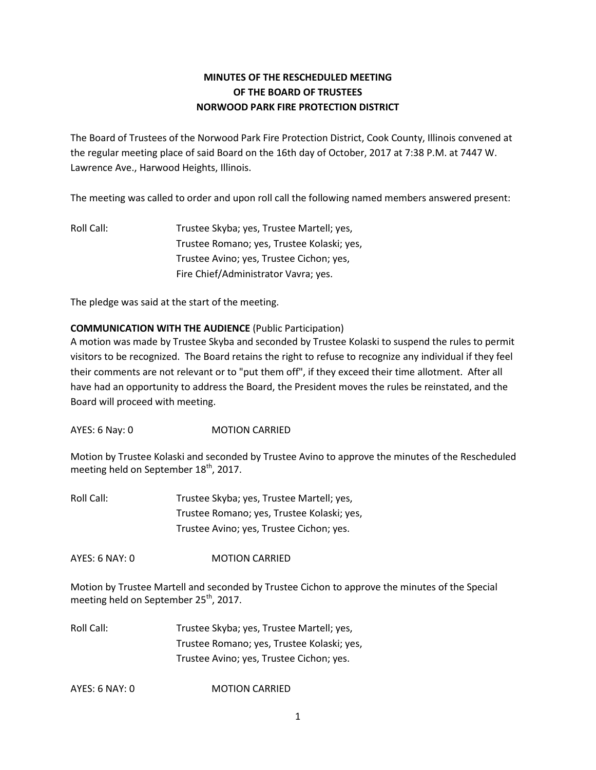# **MINUTES OF THE RESCHEDULED MEETING OF THE BOARD OF TRUSTEES NORWOOD PARK FIRE PROTECTION DISTRICT**

The Board of Trustees of the Norwood Park Fire Protection District, Cook County, Illinois convened at the regular meeting place of said Board on the 16th day of October, 2017 at 7:38 P.M. at 7447 W. Lawrence Ave., Harwood Heights, Illinois.

The meeting was called to order and upon roll call the following named members answered present:

Roll Call: Trustee Skyba; yes, Trustee Martell; yes, Trustee Romano; yes, Trustee Kolaski; yes, Trustee Avino; yes, Trustee Cichon; yes, Fire Chief/Administrator Vavra; yes.

The pledge was said at the start of the meeting.

# **COMMUNICATION WITH THE AUDIENCE** (Public Participation)

A motion was made by Trustee Skyba and seconded by Trustee Kolaski to suspend the rules to permit visitors to be recognized. The Board retains the right to refuse to recognize any individual if they feel their comments are not relevant or to "put them off", if they exceed their time allotment. After all have had an opportunity to address the Board, the President moves the rules be reinstated, and the Board will proceed with meeting.

AYES: 6 Nay: 0 MOTION CARRIED

Motion by Trustee Kolaski and seconded by Trustee Avino to approve the minutes of the Rescheduled meeting held on September 18<sup>th</sup>, 2017.

Roll Call: Trustee Skyba; yes, Trustee Martell; yes, Trustee Romano; yes, Trustee Kolaski; yes, Trustee Avino; yes, Trustee Cichon; yes.

AYES: 6 NAY: 0 MOTION CARRIED

Motion by Trustee Martell and seconded by Trustee Cichon to approve the minutes of the Special meeting held on September  $25<sup>th</sup>$ , 2017.

Roll Call: Trustee Skyba; yes, Trustee Martell; yes, Trustee Romano; yes, Trustee Kolaski; yes, Trustee Avino; yes, Trustee Cichon; yes.

AYES: 6 NAY: 0 MOTION CARRIED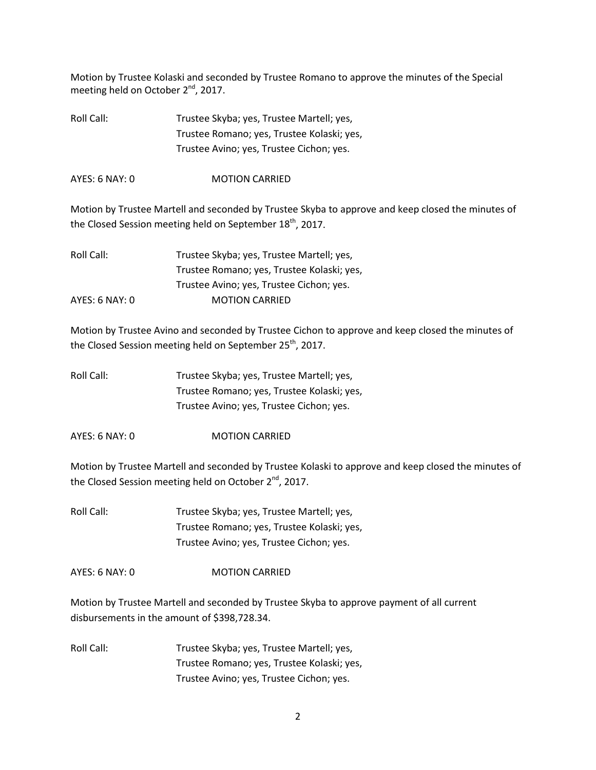Motion by Trustee Kolaski and seconded by Trustee Romano to approve the minutes of the Special meeting held on October 2<sup>nd</sup>, 2017.

| Roll Call: | Trustee Skyba; yes, Trustee Martell; yes,  |
|------------|--------------------------------------------|
|            | Trustee Romano; yes, Trustee Kolaski; yes, |
|            | Trustee Avino; yes, Trustee Cichon; yes.   |

AYES: 6 NAY: 0 MOTION CARRIED

Motion by Trustee Martell and seconded by Trustee Skyba to approve and keep closed the minutes of the Closed Session meeting held on September  $18<sup>th</sup>$ , 2017.

| Roll Call:     | Trustee Skyba; yes, Trustee Martell; yes,  |
|----------------|--------------------------------------------|
|                | Trustee Romano; yes, Trustee Kolaski; yes, |
|                | Trustee Avino; yes, Trustee Cichon; yes.   |
| AYES: 6 NAY: 0 | <b>MOTION CARRIED</b>                      |

Motion by Trustee Avino and seconded by Trustee Cichon to approve and keep closed the minutes of the Closed Session meeting held on September 25<sup>th</sup>, 2017.

| Roll Call: | Trustee Skyba; yes, Trustee Martell; yes,  |
|------------|--------------------------------------------|
|            | Trustee Romano; yes, Trustee Kolaski; yes, |
|            | Trustee Avino; yes, Trustee Cichon; yes.   |

AYES: 6 NAY: 0 MOTION CARRIED

Motion by Trustee Martell and seconded by Trustee Kolaski to approve and keep closed the minutes of the Closed Session meeting held on October 2<sup>nd</sup>, 2017.

Roll Call: Trustee Skyba; yes, Trustee Martell; yes, Trustee Romano; yes, Trustee Kolaski; yes, Trustee Avino; yes, Trustee Cichon; yes.

AYES: 6 NAY: 0 MOTION CARRIED

Motion by Trustee Martell and seconded by Trustee Skyba to approve payment of all current disbursements in the amount of \$398,728.34.

Roll Call: Trustee Skyba; yes, Trustee Martell; yes, Trustee Romano; yes, Trustee Kolaski; yes, Trustee Avino; yes, Trustee Cichon; yes.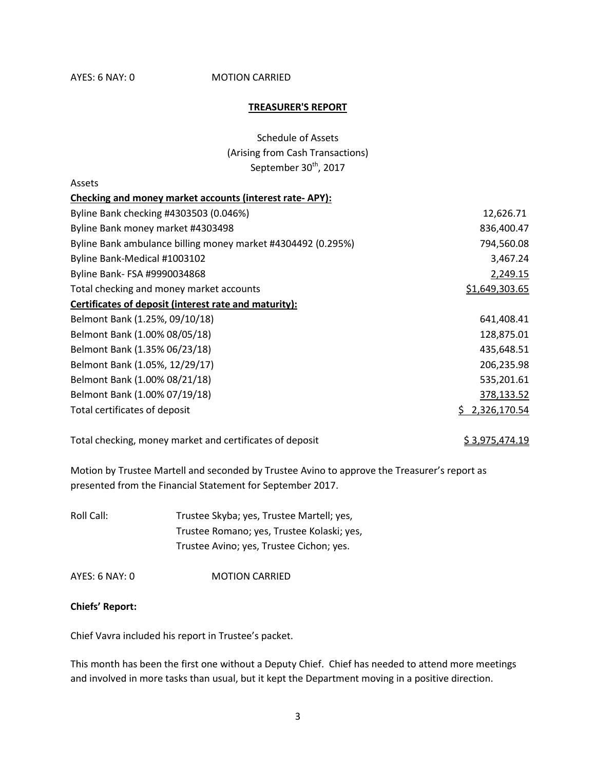### AYES: 6 NAY: 0 **MOTION CARRIED**

### **TREASURER'S REPORT**

| <b>Schedule of Assets</b>         |
|-----------------------------------|
| (Arising from Cash Transactions)  |
| September 30 <sup>th</sup> , 2017 |

| Assets                                                       |                |
|--------------------------------------------------------------|----------------|
| Checking and money market accounts (interest rate-APY):      |                |
| Byline Bank checking #4303503 (0.046%)                       | 12,626.71      |
| Byline Bank money market #4303498                            | 836,400.47     |
| Byline Bank ambulance billing money market #4304492 (0.295%) | 794,560.08     |
| Byline Bank-Medical #1003102                                 | 3,467.24       |
| Byline Bank- FSA #9990034868                                 | 2,249.15       |
| Total checking and money market accounts                     | \$1,649,303.65 |
| Certificates of deposit (interest rate and maturity):        |                |
| Belmont Bank (1.25%, 09/10/18)                               | 641,408.41     |
| Belmont Bank (1.00% 08/05/18)                                | 128,875.01     |
| Belmont Bank (1.35% 06/23/18)                                | 435,648.51     |
| Belmont Bank (1.05%, 12/29/17)                               | 206,235.98     |
| Belmont Bank (1.00% 08/21/18)                                | 535,201.61     |
| Belmont Bank (1.00% 07/19/18)                                | 378,133.52     |
| Total certificates of deposit                                | 2,326,170.54   |

Total checking, money market and certificates of deposit  $$3,975,474.19$ 

Motion by Trustee Martell and seconded by Trustee Avino to approve the Treasurer's report as presented from the Financial Statement for September 2017.

Roll Call: Trustee Skyba; yes, Trustee Martell; yes, Trustee Romano; yes, Trustee Kolaski; yes, Trustee Avino; yes, Trustee Cichon; yes.

AYES: 6 NAY: 0 MOTION CARRIED

### **Chiefs' Report:**

Chief Vavra included his report in Trustee's packet.

This month has been the first one without a Deputy Chief. Chief has needed to attend more meetings and involved in more tasks than usual, but it kept the Department moving in a positive direction.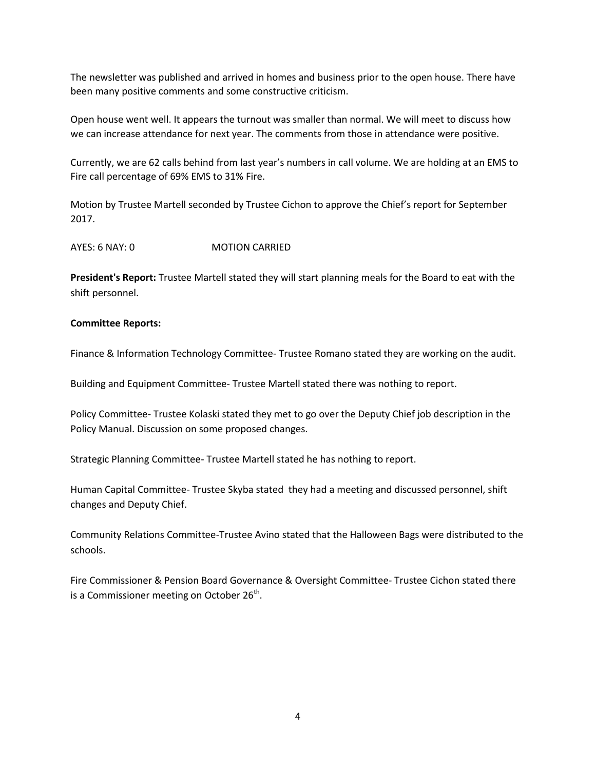The newsletter was published and arrived in homes and business prior to the open house. There have been many positive comments and some constructive criticism.

Open house went well. It appears the turnout was smaller than normal. We will meet to discuss how we can increase attendance for next year. The comments from those in attendance were positive.

Currently, we are 62 calls behind from last year's numbers in call volume. We are holding at an EMS to Fire call percentage of 69% EMS to 31% Fire.

Motion by Trustee Martell seconded by Trustee Cichon to approve the Chief's report for September 2017.

AYES: 6 NAY: 0 MOTION CARRIED

**President's Report:** Trustee Martell stated they will start planning meals for the Board to eat with the shift personnel.

### **Committee Reports:**

Finance & Information Technology Committee- Trustee Romano stated they are working on the audit.

Building and Equipment Committee- Trustee Martell stated there was nothing to report.

Policy Committee- Trustee Kolaski stated they met to go over the Deputy Chief job description in the Policy Manual. Discussion on some proposed changes.

Strategic Planning Committee- Trustee Martell stated he has nothing to report.

Human Capital Committee- Trustee Skyba stated they had a meeting and discussed personnel, shift changes and Deputy Chief.

Community Relations Committee-Trustee Avino stated that the Halloween Bags were distributed to the schools.

Fire Commissioner & Pension Board Governance & Oversight Committee- Trustee Cichon stated there is a Commissioner meeting on October  $26^{th}$ .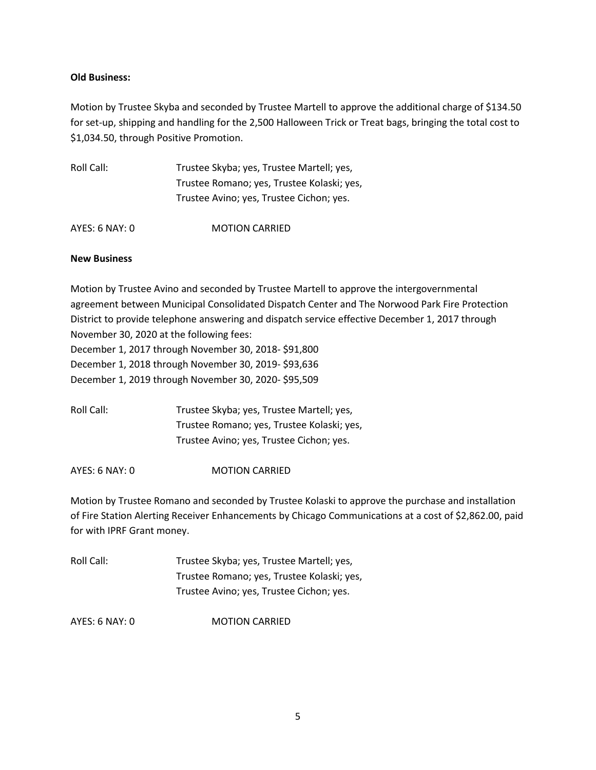# **Old Business:**

Motion by Trustee Skyba and seconded by Trustee Martell to approve the additional charge of \$134.50 for set-up, shipping and handling for the 2,500 Halloween Trick or Treat bags, bringing the total cost to \$1,034.50, through Positive Promotion.

| Roll Call:     | Trustee Skyba; yes, Trustee Martell; yes,  |
|----------------|--------------------------------------------|
|                | Trustee Romano; yes, Trustee Kolaski; yes, |
|                | Trustee Avino; yes, Trustee Cichon; yes.   |
|                |                                            |
| AYES: 6 NAY: 0 | <b>MOTION CARRIED</b>                      |

## **New Business**

Motion by Trustee Avino and seconded by Trustee Martell to approve the intergovernmental agreement between Municipal Consolidated Dispatch Center and The Norwood Park Fire Protection District to provide telephone answering and dispatch service effective December 1, 2017 through November 30, 2020 at the following fees: December 1, 2017 through November 30, 2018- \$91,800 December 1, 2018 through November 30, 2019- \$93,636 December 1, 2019 through November 30, 2020- \$95,509

Roll Call: Trustee Skyba; yes, Trustee Martell; yes, Trustee Romano; yes, Trustee Kolaski; yes, Trustee Avino; yes, Trustee Cichon; yes.

AYES: 6 NAY: 0 MOTION CARRIED

Motion by Trustee Romano and seconded by Trustee Kolaski to approve the purchase and installation of Fire Station Alerting Receiver Enhancements by Chicago Communications at a cost of \$2,862.00, paid for with IPRF Grant money.

Roll Call: Trustee Skyba; yes, Trustee Martell; yes, Trustee Romano; yes, Trustee Kolaski; yes, Trustee Avino; yes, Trustee Cichon; yes.

AYES: 6 NAY: 0 MOTION CARRIED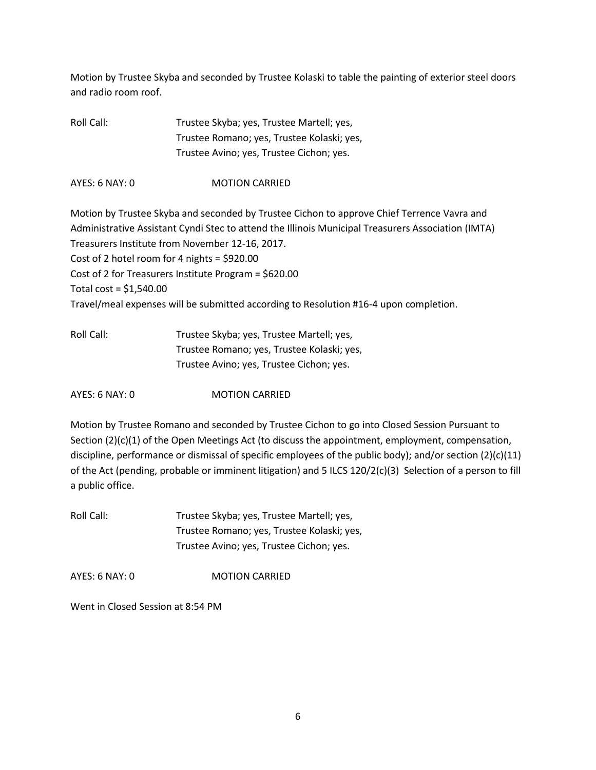Motion by Trustee Skyba and seconded by Trustee Kolaski to table the painting of exterior steel doors and radio room roof.

Roll Call: Trustee Skyba; yes, Trustee Martell; yes, Trustee Romano; yes, Trustee Kolaski; yes, Trustee Avino; yes, Trustee Cichon; yes.

AYES: 6 NAY: 0 MOTION CARRIED

Motion by Trustee Skyba and seconded by Trustee Cichon to approve Chief Terrence Vavra and Administrative Assistant Cyndi Stec to attend the Illinois Municipal Treasurers Association (IMTA) Treasurers Institute from November 12-16, 2017. Cost of 2 hotel room for 4 nights = \$920.00 Cost of 2 for Treasurers Institute Program = \$620.00 Total cost = \$1,540.00 Travel/meal expenses will be submitted according to Resolution #16-4 upon completion.

| Roll Call: | Trustee Skyba; yes, Trustee Martell; yes,  |
|------------|--------------------------------------------|
|            | Trustee Romano; yes, Trustee Kolaski; yes, |
|            | Trustee Avino; yes, Trustee Cichon; yes.   |

AYES: 6 NAY: 0 MOTION CARRIED

Motion by Trustee Romano and seconded by Trustee Cichon to go into Closed Session Pursuant to Section (2)(c)(1) of the Open Meetings Act (to discuss the appointment, employment, compensation, discipline, performance or dismissal of specific employees of the public body); and/or section  $(2)(c)(11)$ of the Act (pending, probable or imminent litigation) and 5 ILCS 120/2(c)(3) Selection of a person to fill a public office.

Roll Call: Trustee Skyba; yes, Trustee Martell; yes, Trustee Romano; yes, Trustee Kolaski; yes, Trustee Avino; yes, Trustee Cichon; yes.

AYES: 6 NAY: 0 MOTION CARRIED

Went in Closed Session at 8:54 PM